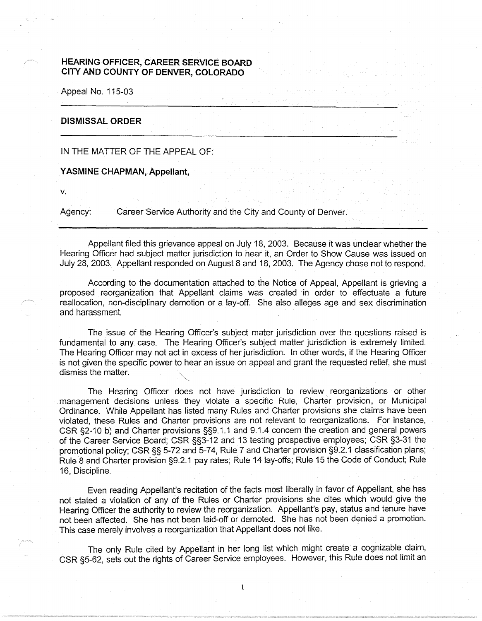## **HEARING OFFICER, CAREER SERVICE BOARD CITY AND COUNTY OF DENVER, COLORADO**

Appeal No. 115-03

## **DISMISSAL ORDER**

IN THE MATTER OF THE APPEAL OF:

**YASMINE CHAPMAN, Appellant,** 

**V.** 

Agency: Career Service Authority and the City and County of Denver.

Appellant filed this grievance appeal on July 18, 2003. Because it was unclear whether the Hearing Officer had subject matter jurisdiction to hear it, an Order to Show Cause was issued on July 28, 2003. Appellant responded on August 8 and 18, 2003. The Agency chose not to respond.

According to the documentation attached to the Notice of Appeal, Appellant is grieving a proposed reorganization that Appellant claims was created in order to effectuate a future reallocation, non-disciplinary demotion or a lay-off. She also alleges age and sex discrimination and harassment.

The issue of the Hearing Officer's subject mater jurisdiction over the questions raised is fundamental to any case. The Hearing Officer's subject matter jurisdiction is extremely limited. The Hearing Officer may not act in excess of her jurisdiction. In other words, if the Hearing Officer is not given the specific power to hear an issue on appeal and grant the requested relief, she must dismiss the matter.

The Hearing Officer does not have jurisdiction to review reorganizations or other management decisions unless they violate a specific Rule, Charter provision, or Municipal Ordinance. While Appellant has listed many Rules and Charter provisions she claims have been violated, these Rules and Charter provisions are not relevant to reorganizations. For instance, CSR §2-10 b) and Charter provisions §§9.1.1 and 9.1.4 concern the creation and general powers of the Career Service Board; CSR §§3-12 and 13 testing prospective employees; CSR §3-31 the promotional policy; CSR§§ 5-72 and 5-74, Rule 7 and Charter provision §9.2.1 classification plans; Rule 8 and Charter provision §9.2.1 pay rates; Rule 14 lay-offs; Rule 15 the Code of Conduct; Rule 16, Discipline.

Even reading Appellant's recitation of the facts most liberally in favor of Appellant, she has not stated a violation of any of the Rules or Charter provisions she cites which would give the Hearing Officer the authority to review the reorganization. Appellant's pay, status and tenure have not been affected. She has not been laid-off or demoted. She has not been denied a promotion. This case merely involves a reorganization that Appellant does not like.

The only Rule cited by Appellant in her long list which might create a cognizable claim, CSR §5-62, sets out the rights of Career Service employees. However, this Rule does not limit an

 $\mathbf{1}$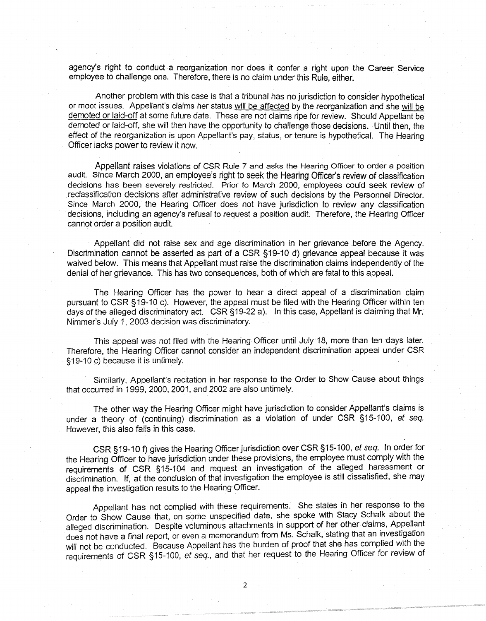agency's right to conduct a reorganization nor does it confer a right upon the Career Service employee to challenge one. Therefore, there is no claim under this Rule, either.

Another problem with this case is that a tribunal has no jurisdiction to consider hypothetical or moot issues. Appellant's claims her status will be affected by the reorganization and she will be demoted or laid-off at some future date. These are not claims ripe for review. Should Appellant be demoted or laid-off, she will then have the opportunity to challenge those decisions. Until then, the effect of the reorganization is upon Appellant's pay, status, or tenure is hypothetical. The Hearing Officer lacks power to review it now.

Appellant raises violations of CSR Rule 7 and asks the Hearing Officer to order a position audit. Since March 2000, an employee's right to seek the Hearing Officer's review of classification decisions has been severely restricted. Prior to March 2000, employees could seek review of reclassification decisions after administrative review of such decisions by the Personnel Director. Since March 2000, the Hearing Officer does not have jurisdiction to review any classification decisions, including an agency's refusal to request a position audit. Therefore, the Hearing Officer cannot order a position audit.

Appellant did not raise sex and age discrimination in her grievance before the Agency. Discrimination cannot be asserted as part of a CSR §19-10 d) grievance appeal because it was waived below. This means that Appellant must raise the discrimination claims independently of the denial of her grievance. This has two consequences, both of which are fatal to this appeal.

The Hearing Officer has the power to hear a direct appeal of a discrimination claim pursuant to CSR § 19-10 c). However, the appeal must be filed with the Hearing Officer within ten days of the alleged discriminatory act. CSR §19-22 a). In this case, Appellant is claiming that Mr. Nimmer's July 1, 2003 decision was discriminatory.

This appeal was not filed with the Hearing Officer until July 18, more than ten days later. Therefore, the Hearing Officer cannot consider an independent discrimination appeal under CSR §19-10 c) because it is untimely.

Similarly, Appellant's recitation in her response to the Order to Show Cause about things that occurred in 1999, 2000, 2001, and 2002 are also untimely.

The other way the Hearing Officer might have jurisdiction to consider Appellant's claims is under a theory of (continuing) discrimination as a violation of under CSR §15-100, et seq. However, this also fails in this case.

CSR §19-10 f) gives the Hearing Officer jurisdiction over CSR §15-100, et seq. In order for the Hearing Officer to have jurisdiction under these provisions, the employee must comply with the requirements of CSR § 15-104 and request an investigation of the alleged harassment or discrimination. If, at the conclusion of that investigation the employee is still dissatisfied, she may appeal the investigation results to the Hearing Officer.

Appellant has not complied with these requirements. She states in her response to the Order to Show Cause that, on some unspecified date, she spoke with Stacy Schalk about the alleged discrimination. Despite voluminous attachments in support of her other claims, Appellant does not have a final report, or even a memorandum from Ms. Schalk, stating that an investigation will not be conducted. Because Appellant has the burden of proof that she has complied with the requirements of CSR §15-100, et seq., and that her request to the Hearing Officer for review of

2